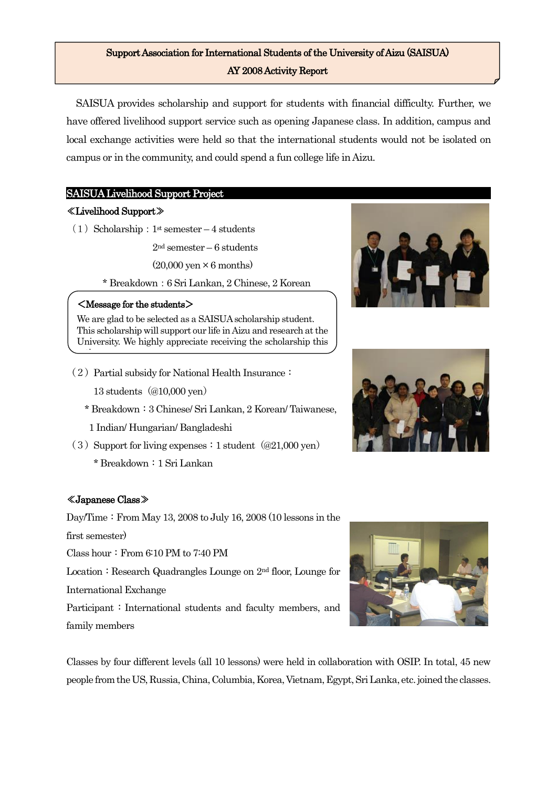# Support Association for International Students of the University of Aizu (SAISUA) AY 2008 Activity Report

SAISUA provides scholarship and support for students with financial difficulty. Further, we have offered livelihood support service such as opening Japanese class. In addition, campus and local exchange activities were held so that the international students would not be isolated on campus or in the community, and could spend a fun college life in Aizu.

## SAISUA Livelihood Support Project

## ≪Livelihood Support≫

 $\overline{\phantom{a}}$  $\overline{\phantom{a}}$  (1) Scholarship:  $1<sup>st</sup>$  semester – 4 students

2nd semester – 6 students

 $(20.000 \text{ ven} \times 6 \text{ months})$ 

\* Breakdown:6 Sri Lankan, 2 Chinese, 2 Korean

## <Message for the students>

We are glad to be selected as a SAISUA scholarship student. This scholarship will support our life in Aizu and research at the University. We highly appreciate receiving the scholarship this time.

- $(2)$  Partial subsidy for National Health Insurance:
	- 13 students (@10,000 yen)
	- \* Breakdown:3 Chinese/ Sri Lankan, 2 Korean/ Taiwanese,
	- 1 Indian/ Hungarian/ Bangladeshi
- $(3)$  Support for living expenses : 1 student  $(\textcircled{21,000 yen})$ \* Breakdown:1 Sri Lankan

## ≪Japanese Class≫

Day/Time: From May 13, 2008 to July 16, 2008 (10 lessons in the first semester)

Class hour: From  $6:10$  PM to  $7:40$  PM

Location: Research Quadrangles Lounge on  $2<sup>nd</sup>$  floor, Lounge for International Exchange

Participant: International students and faculty members, and family members

Classes by four different levels (all 10 lessons) were held in collaboration with OSIP. In total, 45 new people from the US, Russia, China, Columbia, Korea, Vietnam, Egypt, Sri Lanka, etc. joined the classes.





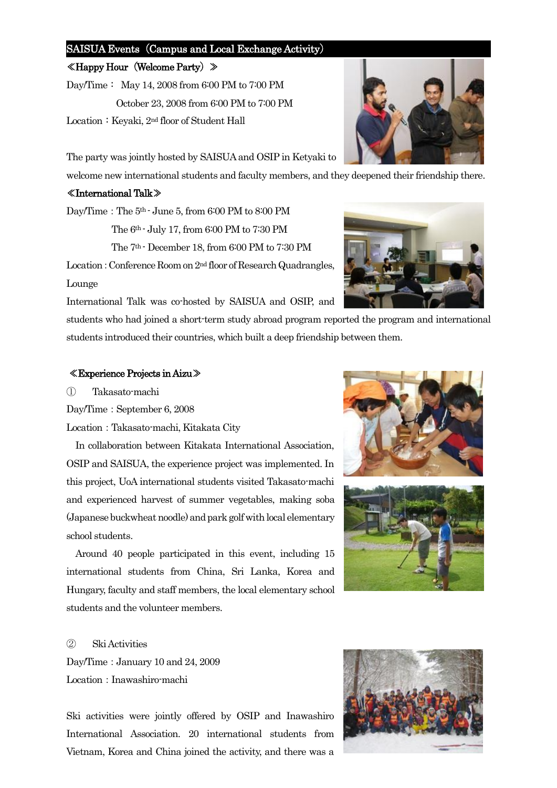#### SAISUA Events (Campus and Local Exchange Activity)

#### ≪Happy Hour(Welcome Party)≫

Day/Time: May 14, 2008 from 6:00 PM to 7:00 PM October 23, 2008 from 6:00 PM to 7:00 PM Location: Keyaki, 2<sup>nd</sup> floor of Student Hall

The party was jointly hosted by SAISUA and OSIP in Ketyaki to

welcome new international students and faculty members, and they deepened their friendship there.

#### ≪International Talk≫

Day/Time:The 5th - June 5, from 6:00 PM to 8:00 PM The 6th - July 17, from 6:00 PM to 7:30 PM The 7th - December 18, from 6:00 PM to 7:30 PM

Location: Conference Room on 2<sup>nd</sup> floor of Research Quadrangles, Lounge

International Talk was co-hosted by SAISUA and OSIP, and

students who had joined a short-term study abroad program reported the program and international students introduced their countries, which built a deep friendship between them.

#### ≪Experience Projects in Aizu≫

① Takasato-machi

Day/Time: September 6, 2008

Location:Takasato-machi, Kitakata City

In collaboration between Kitakata International Association, OSIP and SAISUA, the experience project was implemented. In this project, UoA international students visited Takasato-machi and experienced harvest of summer vegetables, making soba (Japanese buckwheat noodle) and park golf with local elementary school students.

Around 40 people participated in this event, including 15 international students from China, Sri Lanka, Korea and Hungary, faculty and staff members, the local elementary school students and the volunteer members.

#### ② Ski Activities

Day/Time: January 10 and 24, 2009 Location: Inawashiro-machi

Ski activities were jointly offered by OSIP and Inawashiro International Association. 20 international students from Vietnam, Korea and China joined the activity, and there was a